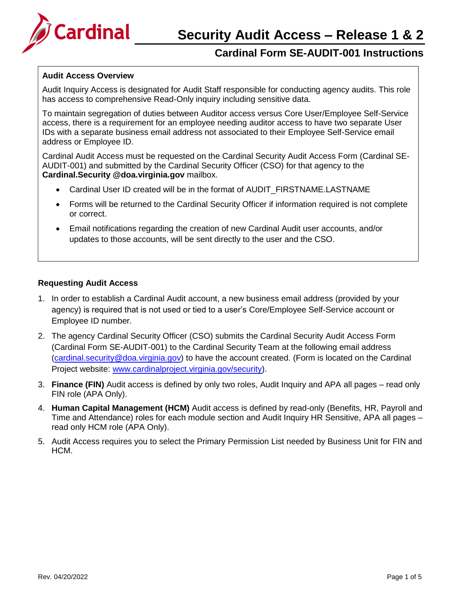

## **Audit Access Overview**

Audit Inquiry Access is designated for Audit Staff responsible for conducting agency audits. This role has access to comprehensive Read-Only inquiry including sensitive data.

To maintain segregation of duties between Auditor access versus Core User/Employee Self-Service access, there is a requirement for an employee needing auditor access to have two separate User IDs with a separate business email address not associated to their Employee Self-Service email address or Employee ID.

Cardinal Audit Access must be requested on the Cardinal Security Audit Access Form (Cardinal SE-AUDIT-001) and submitted by the Cardinal Security Officer (CSO) for that agency to the **[Cardinal.Security @doa.virginia.gov](mailto:CO.CardinalSecurity@vdot.virginia.gov)** mailbox.

- Cardinal User ID created will be in the format of AUDIT\_FIRSTNAME.LASTNAME
- Forms will be returned to the Cardinal Security Officer if information required is not complete or correct.
- Email notifications regarding the creation of new Cardinal Audit user accounts, and/or updates to those accounts, will be sent directly to the user and the CSO.

## **Requesting Audit Access**

- 1. In order to establish a Cardinal Audit account, a new business email address (provided by your agency) is required that is not used or tied to a user's Core/Employee Self-Service account or Employee ID number.
- 2. The agency Cardinal Security Officer (CSO) submits the Cardinal Security Audit Access Form (Cardinal Form SE-AUDIT-001) to the Cardinal Security Team at the following email address [\(cardinal.security@doa.virginia.gov\)](mailto:cardinal.security@doa.virginia.gov) to have the account created. (Form is located on the Cardinal Project website: [www.cardinalproject.virginia.gov/security\)](http://www.cardinalproject.virginia.gov/security).
- 3. **Finance (FIN)** Audit access is defined by only two roles, Audit Inquiry and APA all pages read only FIN role (APA Only).
- 4. **Human Capital Management (HCM)** Audit access is defined by read-only (Benefits, HR, Payroll and Time and Attendance) roles for each module section and Audit Inquiry HR Sensitive, APA all pages – read only HCM role (APA Only).
- 5. Audit Access requires you to select the Primary Permission List needed by Business Unit for FIN and HCM.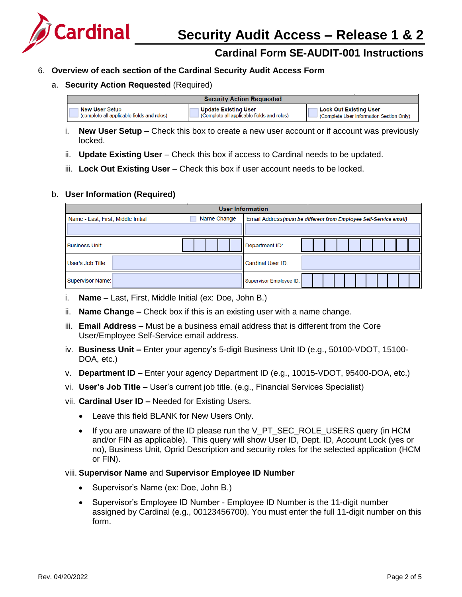

## 6. **Overview of each section of the Cardinal Security Audit Access Form**

## a. **Security Action Requested** (Required)

| <b>Security Action Requested</b>           |                                           |                                         |  |  |
|--------------------------------------------|-------------------------------------------|-----------------------------------------|--|--|
| <b>New User Setup</b>                      | ∣ Update Existing User                    | ∣ Lock Out Existing User                |  |  |
| (complete all applicable fields and roles) | Complete all applicable fields and roles) | Complete User Information Section Only) |  |  |

- i. **New User Setup** Check this box to create a new user account or if account was previously locked.
- ii. **Update Existing User** Check this box if access to Cardinal needs to be updated.
- iii. **Lock Out Existing User** Check this box if user account needs to be locked.

## b. **User Information (Required)**

| <b>User Information</b>                           |                                                                    |  |  |  |
|---------------------------------------------------|--------------------------------------------------------------------|--|--|--|
| Name Change<br>Name - Last, First, Middle Initial | Email Address (must be different from Employee Self-Service email) |  |  |  |
|                                                   |                                                                    |  |  |  |
| <b>Business Unit:</b>                             | Department ID:                                                     |  |  |  |
| User's Job Title:                                 | Cardinal User ID:                                                  |  |  |  |
| <b>Supervisor Name:</b>                           | Supervisor Employee ID:                                            |  |  |  |

- i. **Name –** Last, First, Middle Initial (ex: Doe, John B.)
- ii. **Name Change –** Check box if this is an existing user with a name change.
- iii. **Email Address –** Must be a business email address that is different from the Core User/Employee Self-Service email address.
- iv. **Business Unit –** Enter your agency's 5-digit Business Unit ID (e.g., 50100-VDOT, 15100- DOA, etc.)
- v. **Department ID –** Enter your agency Department ID (e.g., 10015-VDOT, 95400-DOA, etc.)
- vi. **User's Job Title –** User's current job title. (e.g., Financial Services Specialist)
- vii. **Cardinal User ID –** Needed for Existing Users.
	- Leave this field BLANK for New Users Only.
	- If you are unaware of the ID please run the V\_PT\_SEC\_ROLE\_USERS query (in HCM and/or FIN as applicable). This query will show User ID, Dept. ID, Account Lock (yes or no), Business Unit, Oprid Description and security roles for the selected application (HCM or FIN).

#### viii. **Supervisor Name** and **Supervisor Employee ID Number**

- Supervisor's Name (ex: Doe, John B.)
- Supervisor's Employee ID Number Employee ID Number is the 11-digit number assigned by Cardinal (e.g., 00123456700). You must enter the full 11-digit number on this form.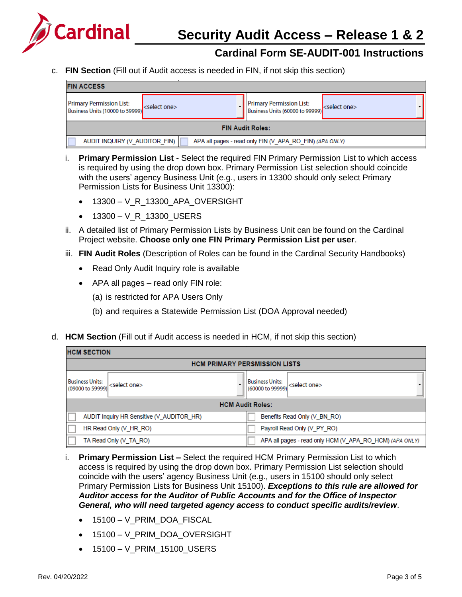

c. **FIN Section** (Fill out if Audit access is needed in FIN, if not skip this section)

| <b>FIN ACCESS</b>                                                                        |                          |  |                                                                    |                          |
|------------------------------------------------------------------------------------------|--------------------------|--|--------------------------------------------------------------------|--------------------------|
| <b>Primary Permission List:</b><br>Business Units (10000 to 59999)                       | <select one=""></select> |  | <b>Primary Permission List:</b><br>Business Units (60000 to 99999) | <select one=""></select> |
| <b>FIN Audit Roles:</b>                                                                  |                          |  |                                                                    |                          |
| AUDIT INQUIRY (V AUDITOR FIN)<br>APA all pages - read only FIN (V APA RO FIN) (APA ONLY) |                          |  |                                                                    |                          |

- i. **Primary Permission List -** Select the required FIN Primary Permission List to which access is required by using the drop down box. Primary Permission List selection should coincide with the users' agency Business Unit (e.g., users in 13300 should only select Primary Permission Lists for Business Unit 13300):
	- 13300 V\_R\_13300\_APA\_OVERSIGHT
	- 13300 V\_R\_13300\_USERS
- ii. A detailed list of Primary Permission Lists by Business Unit can be found on the Cardinal Project website. **Choose only one FIN Primary Permission List per user**.
- iii. **FIN Audit Roles** (Description of Roles can be found in the Cardinal Security Handbooks)
	- Read Only Audit Inquiry role is available
	- APA all pages read only FIN role:
		- (a) is restricted for APA Users Only
		- (b) and requires a Statewide Permission List (DOA Approval needed)
- d. **HCM Section** (Fill out if Audit access is needed in HCM, if not skip this section)

| <b>HCM SECTION</b>                         |                                           |                                            |                                                         |  |
|--------------------------------------------|-------------------------------------------|--------------------------------------------|---------------------------------------------------------|--|
| <b>HCM PRIMARY PERSMISSION LISTS</b>       |                                           |                                            |                                                         |  |
| <b>Business Units:</b><br>(09000 to 59999) | <select one=""></select>                  | <b>Business Units:</b><br>(60000 to 99999) | <select one=""></select>                                |  |
| <b>HCM Audit Roles:</b>                    |                                           |                                            |                                                         |  |
|                                            | AUDIT Inquiry HR Sensitive (V AUDITOR HR) |                                            | Benefits Read Only (V BN RO)                            |  |
|                                            | HR Read Only (V_HR_RO)                    |                                            | Payroll Read Only (V_PY_RO)                             |  |
|                                            | TA Read Only (V TA RO)                    |                                            | APA all pages - read only HCM (V APA RO HCM) (APA ONLY) |  |

- i. **Primary Permission List –** Select the required HCM Primary Permission List to which access is required by using the drop down box. Primary Permission List selection should coincide with the users' agency Business Unit (e.g., users in 15100 should only select Primary Permission Lists for Business Unit 15100). *Exceptions to this rule are allowed for Auditor access for the Auditor of Public Accounts and for the Office of Inspector General, who will need targeted agency access to conduct specific audits/review*.
	- 15100 V\_PRIM\_DOA\_FISCAL
	- 15100 V\_PRIM\_DOA\_OVERSIGHT
	- 15100 V\_PRIM\_15100\_USERS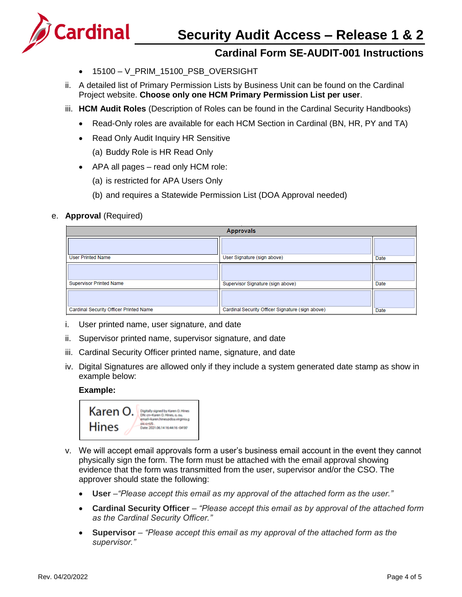

# **Security Audit Access – Release 1 & 2**

# **Cardinal Form SE-AUDIT-001 Instructions**

- 15100 V\_PRIM\_15100\_PSB\_OVERSIGHT
- ii. A detailed list of Primary Permission Lists by Business Unit can be found on the Cardinal Project website. **Choose only one HCM Primary Permission List per user**.
- iii. **HCM Audit Roles** (Description of Roles can be found in the Cardinal Security Handbooks)
	- Read-Only roles are available for each HCM Section in Cardinal (BN, HR, PY and TA)
	- Read Only Audit Inquiry HR Sensitive
		- (a) Buddy Role is HR Read Only
	- APA all pages read only HCM role:
		- (a) is restricted for APA Users Only
		- (b) and requires a Statewide Permission List (DOA Approval needed)
- e. **Approval** (Required)

| <b>Approvals</b>                       |                                                  |      |
|----------------------------------------|--------------------------------------------------|------|
|                                        |                                                  |      |
| <b>User Printed Name</b>               | User Signature (sign above)                      | Date |
|                                        |                                                  |      |
| <b>Supervisor Printed Name</b>         | Supervisor Signature (sign above)                | Date |
|                                        |                                                  |      |
| Cardinal Security Officer Printed Name | Cardinal Security Officer Signature (sign above) | Date |

- i. User printed name, user signature, and date
- ii. Supervisor printed name, supervisor signature, and date
- iii. Cardinal Security Officer printed name, signature, and date
- iv. Digital Signatures are allowed only if they include a system generated date stamp as show in example below:

#### **Example:**



- v. We will accept email approvals form a user's business email account in the event they cannot physically sign the form. The form must be attached with the email approval showing evidence that the form was transmitted from the user, supervisor and/or the CSO. The approver should state the following:
	- **User** *–"Please accept this email as my approval of the attached form as the user."*
	- **Cardinal Security Officer** *"Please accept this email as by approval of the attached form as the Cardinal Security Officer."*
	- **Supervisor** *"Please accept this email as my approval of the attached form as the supervisor."*